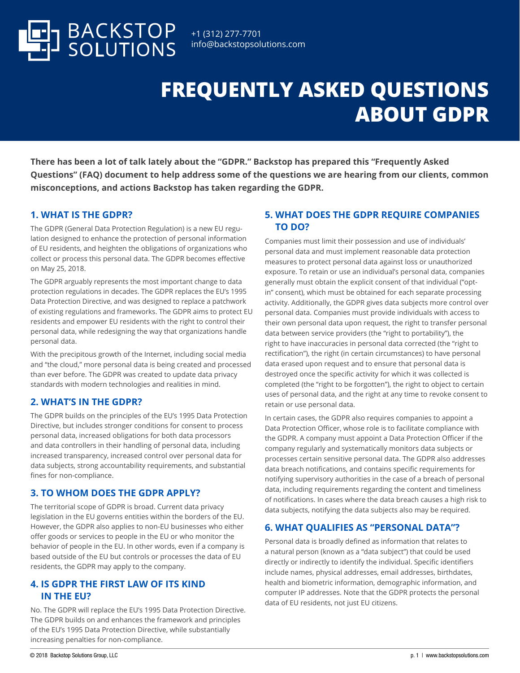

# **FREQUENTLY ASKED QUESTIONS ABOUT GDPR**

**There has been a lot of talk lately about the "GDPR." Backstop has prepared this "Frequently Asked Questions" (FAQ) document to help address some of the questions we are hearing from our clients, common misconceptions, and actions Backstop has taken regarding the GDPR.**

## **1. WHAT IS THE GDPR?**

The GDPR (General Data Protection Regulation) is a new EU regulation designed to enhance the protection of personal information of EU residents, and heighten the obligations of organizations who collect or process this personal data. The GDPR becomes effective on May 25, 2018.

The GDPR arguably represents the most important change to data protection regulations in decades. The GDPR replaces the EU's 1995 Data Protection Directive, and was designed to replace a patchwork of existing regulations and frameworks. The GDPR aims to protect EU residents and empower EU residents with the right to control their personal data, while redesigning the way that organizations handle personal data.

With the precipitous growth of the Internet, including social media and "the cloud," more personal data is being created and processed than ever before. The GDPR was created to update data privacy standards with modern technologies and realities in mind.

# **2. WHAT'S IN THE GDPR?**

The GDPR builds on the principles of the EU's 1995 Data Protection Directive, but includes stronger conditions for consent to process personal data, increased obligations for both data processors and data controllers in their handling of personal data, including increased transparency, increased control over personal data for data subjects, strong accountability requirements, and substantial fines for non-compliance.

### **3. TO WHOM DOES THE GDPR APPLY?**

The territorial scope of GDPR is broad. Current data privacy legislation in the EU governs entities within the borders of the EU. However, the GDPR also applies to non-EU businesses who either offer goods or services to people in the EU or who monitor the behavior of people in the EU. In other words, even if a company is based outside of the EU but controls or processes the data of EU residents, the GDPR may apply to the company.

### **4. IS GDPR THE FIRST LAW OF ITS KIND IN THE EU?**

No. The GDPR will replace the EU's 1995 Data Protection Directive. The GDPR builds on and enhances the framework and principles of the EU's 1995 Data Protection Directive, while substantially increasing penalties for non-compliance.

## **5. WHAT DOES THE GDPR REQUIRE COMPANIES TO DO?**

Companies must limit their possession and use of individuals' personal data and must implement reasonable data protection measures to protect personal data against loss or unauthorized exposure. To retain or use an individual's personal data, companies generally must obtain the explicit consent of that individual ("optin" consent), which must be obtained for each separate processing activity. Additionally, the GDPR gives data subjects more control over personal data. Companies must provide individuals with access to their own personal data upon request, the right to transfer personal data between service providers (the "right to portability"), the right to have inaccuracies in personal data corrected (the "right to rectification"), the right (in certain circumstances) to have personal data erased upon request and to ensure that personal data is destroyed once the specific activity for which it was collected is completed (the "right to be forgotten"), the right to object to certain uses of personal data, and the right at any time to revoke consent to retain or use personal data.

In certain cases, the GDPR also requires companies to appoint a Data Protection Officer, whose role is to facilitate compliance with the GDPR. A company must appoint a Data Protection Officer if the company regularly and systematically monitors data subjects or processes certain sensitive personal data. The GDPR also addresses data breach notifications, and contains specific requirements for notifying supervisory authorities in the case of a breach of personal data, including requirements regarding the content and timeliness of notifications. In cases where the data breach causes a high risk to data subjects, notifying the data subjects also may be required.

# **6. WHAT QUALIFIES AS "PERSONAL DATA"?**

Personal data is broadly defined as information that relates to a natural person (known as a "data subject") that could be used directly or indirectly to identify the individual. Specific identifiers include names, physical addresses, email addresses, birthdates, health and biometric information, demographic information, and computer IP addresses. Note that the GDPR protects the personal data of EU residents, not just EU citizens.